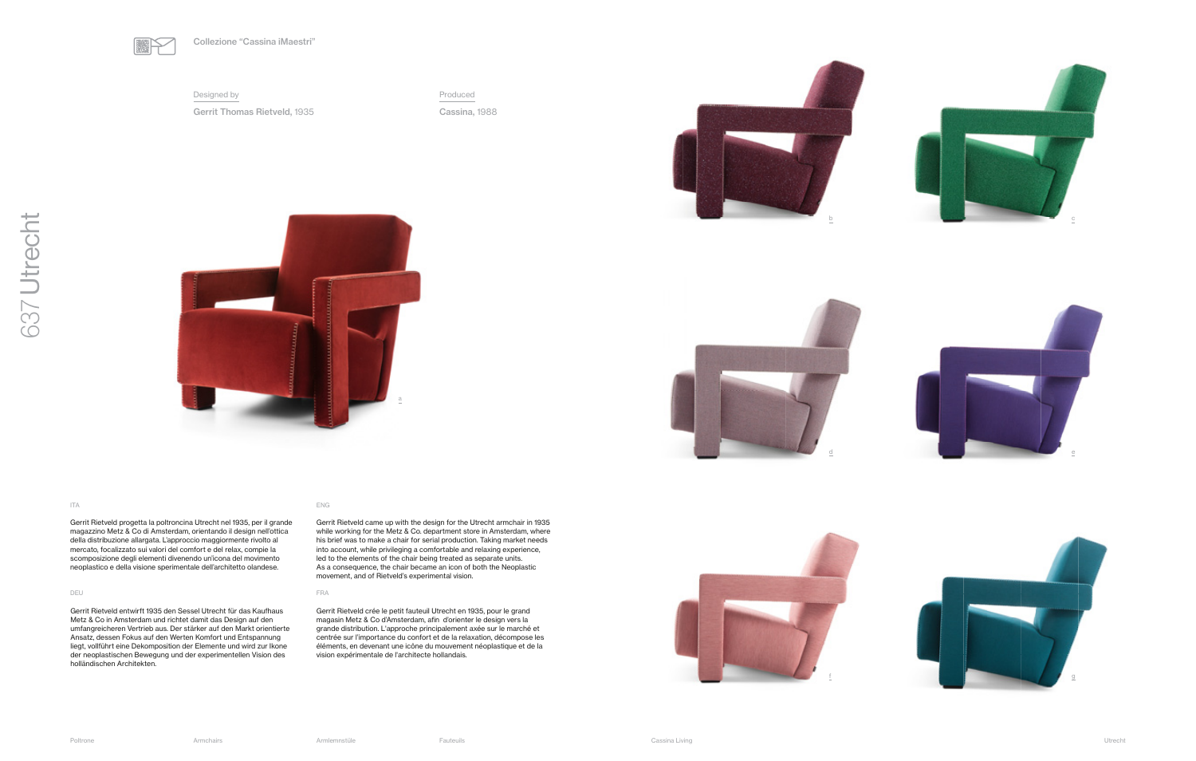Gerrit Rietveld progetta la poltroncina Utrecht nel 1935, per il grande magazzino Metz & Co di Amsterdam, orientando il design nell'ottica della distribuzione allargata. L'approccio maggiormente rivolto al mercato, focalizzato sui valori del comfort e del relax, compie la scomposizione degli elementi divenendo un'icona del movimento neoplastico e della visione sperimentale dell'architetto olandese.

### DEU FRANCISCO E ESTE EN EL CONTENER EN EL CONTENER EN ENFERANCIA EL CONTENERADO EN ENFERANCIA EL CONTENERADO E

Gerrit Rietveld came up with the design for the Utrecht armchair in 1935 while working for the Metz & Co. department store in Amsterdam, where his brief was to make a chair for serial production. Taking market needs into account, while privileging a comfortable and relaxing experience, led to the elements of the chair being treated as separate units. As a consequence, the chair became an icon of both the Neoplastic movement, and of Rietveld's experimental vision.

Gerrit Rietveld entwirft 1935 den Sessel Utrecht für das Kaufhaus Metz & Co in Amsterdam und richtet damit das Design auf den umfangreicheren Vertrieb aus. Der stärker auf den Markt orientierte Ansatz, dessen Fokus auf den Werten Komfort und Entspannung liegt, vollführt eine Dekomposition der Elemente und wird zur Ikone der neoplastischen Bewegung und der experimentellen Vision des holländischen Architekten.

### ITA ENGLES ENGLES EN ENGLES EN ENGLES ENGLES ENGLES ENGLES ENGLES ENGLES ENGLES ENGLES ENGLES ENGLES ENGLES EN

Gerrit Rietveld crée le petit fauteuil Utrecht en 1935, pour le grand magasin Metz & Co d'Amsterdam, afin d'orienter le design vers la grande distribution. L'approche principalement axée sur le marché et centrée sur l'importance du confort et de la relaxation, décompose les éléments, en devenant une icône du mouvement néoplastique et de la vision expérimentale de l'architecte hollandais.



637 Utrecht

637 Utrecht

### Designed by

Gerrit Thomas Rietveld, 1935



Produced

Cassina, 1988

a







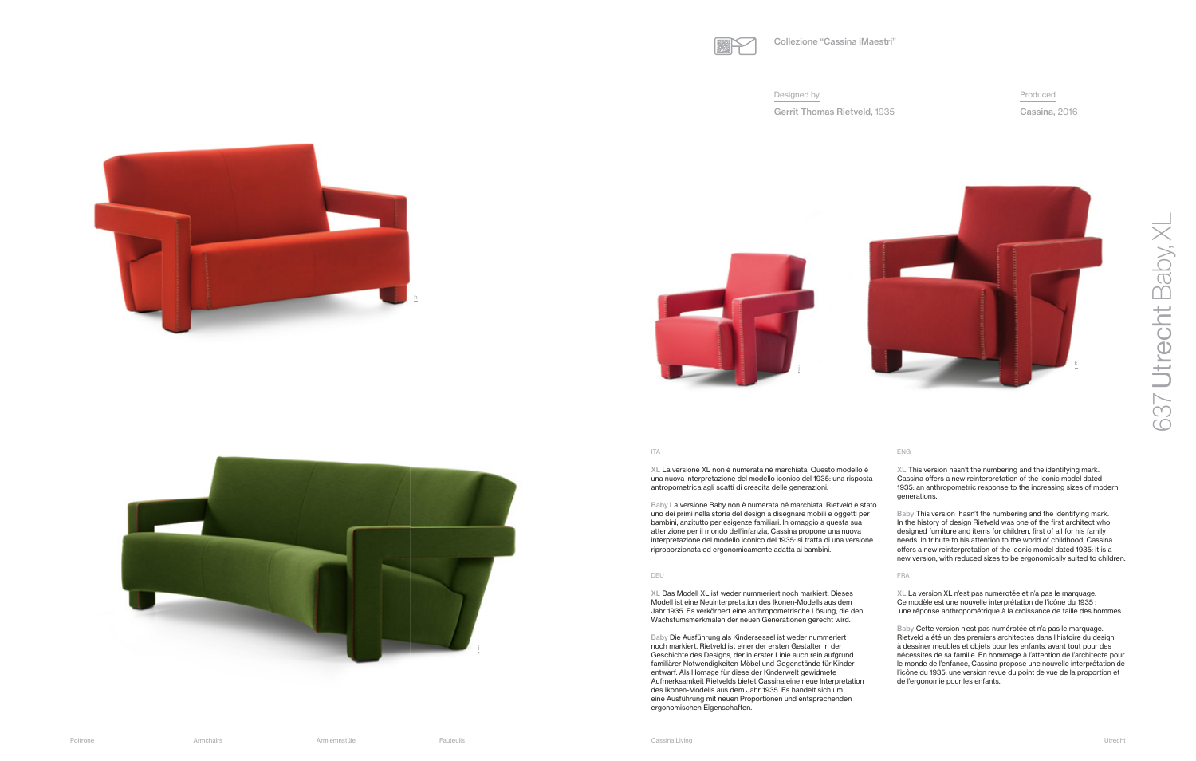### Designed by



Gerrit Thomas Rietveld, 1935

## Produced Cassina, 2016



XL La versione XL non è numerata né marchiata. Questo modello è una nuova interpretazione del modello iconico del 1935: una risposta antropometrica agli scatti di crescita delle generazioni.

Baby La versione Baby non è numerata né marchiata. Rietveld è stato uno dei primi nella storia del design a disegnare mobili e oggetti per bambini, anzitutto per esigenze familiari. In omaggio a questa sua attenzione per il mondo dell'infanzia, Cassina propone una nuova interpretazione del modello iconico del 1935: si tratta di una versione riproporzionata ed ergonomicamente adatta ai bambini.

### DEU FRANCISCO E ESTE EN EL CONTENER EN EL CONTENERATIVO EN ENFERADO EN ENFERADO EN EL CONTENERATIVO EN EL CONTENERATIVO EN EL CONTENERATIVO EN EL CONTENERATIVO EN EL CONTENERATIVO EN EL CONTENERATIVO EN EL CONTENERATIVO EN

XL This version hasn't the numbering and the identifying mark. Cassina offers a new reinterpretation of the iconic model dated 1935: an anthropometric response to the increasing sizes of modern generations.

Baby This version hasn't the numbering and the identifying mark. In the history of design Rietveld was one of the first architect who designed furniture and items for children, first of all for his family<br>needs. In tribute to his attention to the world of childhood, Cassina offers a new reinterpretation of the iconic model dated 1935: it is a new version, with reduced sizes to be ergonomically suited to children.

XL Das Modell XL ist weder nummeriert noch markiert. Dieses Modell ist eine Neuinterpretation des Ikonen-Modells aus dem Jahr 1935. Es verkörpert eine anthropometrische Lösung, die den Wachstumsmerkmalen der neuen Generationen gerecht wird.

Baby Die Ausführung als Kindersessel ist weder nummeriert noch markiert. Rietveld ist einer der ersten Gestalter in der Geschichte des Designs, der in erster Linie auch rein aufgrund familiärer Notwendigkeiten Möbel und Gegenstände für Kinder entwarf. Als Homage für diese der Kinderwelt gewidmete Aufmerksamkeit Rietvelds bietet Cassina eine neue Interpretation des Ikonen-Modells aus dem Jahr 1935. Es handelt sich um eine Ausführung mit neuen Proportionen und entsprechenden ergonomischen Eigenschaften.

XL La version XL n'est pas numérotée et n'a pas le marquage. Ce modèle est une nouvelle interprétation de l'icône du 1935 : une réponse anthropométrique à la croissance de taille des hommes.

Baby Cette version n'est pas numérotée et n'a pas le marquage. Rietveld a été un des premiers architectes dans l'histoire du design à dessiner meubles et objets pour les enfants, avant tout pour des nécessités de sa famille. En hommage à l'attention de l'architecte pour le monde de l'enfance, Cassina propose une nouvelle interprétation de l'icône du 1935: une version revue du point de vue de la proportion et de l'ergonomie pour les enfants.









### ITA DE LA CARACTERA EN CARACTERA EN CARACTERA EN CARACTERA EN CARACTERA EN CARACTERA EN CARACTERA EN CARACTERA